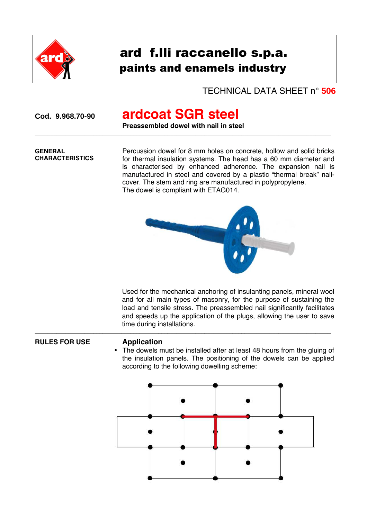

# ard f.lli raccanello s.p.a. paints and enamels industry

## TECHNICAL DATA SHEET n° **506**

# **Cod. 9.968.70-90 ardcoat SGR steel**

**Preassembled dowel with nail in steel**  $\overline{a_1}$  ,  $\overline{a_2}$  ,  $\overline{a_3}$  ,  $\overline{a_4}$  ,  $\overline{a_5}$  ,  $\overline{a_6}$  ,  $\overline{a_7}$  ,  $\overline{a_8}$  ,  $\overline{a_9}$  ,  $\overline{a_9}$  ,  $\overline{a_9}$  ,  $\overline{a_9}$  ,  $\overline{a_9}$  ,  $\overline{a_9}$  ,  $\overline{a_9}$  ,  $\overline{a_9}$  ,  $\overline{a_9}$  ,

### **GENERAL CHARACTERISTICS**

Percussion dowel for 8 mm holes on concrete, hollow and solid bricks for thermal insulation systems. The head has a 60 mm diameter and is characterised by enhanced adherence. The expansion nail is manufactured in steel and covered by a plastic "thermal break" nailcover. The stem and ring are manufactured in polypropylene. The dowel is compliant with ETAG014.



 $\overline{a_1}$  ,  $\overline{a_2}$  ,  $\overline{a_3}$  ,  $\overline{a_4}$  ,  $\overline{a_5}$  ,  $\overline{a_6}$  ,  $\overline{a_7}$  ,  $\overline{a_8}$  ,  $\overline{a_9}$  ,  $\overline{a_9}$  ,  $\overline{a_9}$  ,  $\overline{a_9}$  ,  $\overline{a_9}$  ,  $\overline{a_9}$  ,  $\overline{a_9}$  ,  $\overline{a_9}$  ,  $\overline{a_9}$  , Used for the mechanical anchoring of insulanting panels, mineral wool and for all main types of masonry, for the purpose of sustaining the load and tensile stress. The preassembled nail significantly facilitates and speeds up the application of the plugs, allowing the user to save time during installations.

## **RULES FOR USE Application**

• The dowels must be installed after at least 48 hours from the gluing of the insulation panels. The positioning of the dowels can be applied according to the following dowelling scheme: